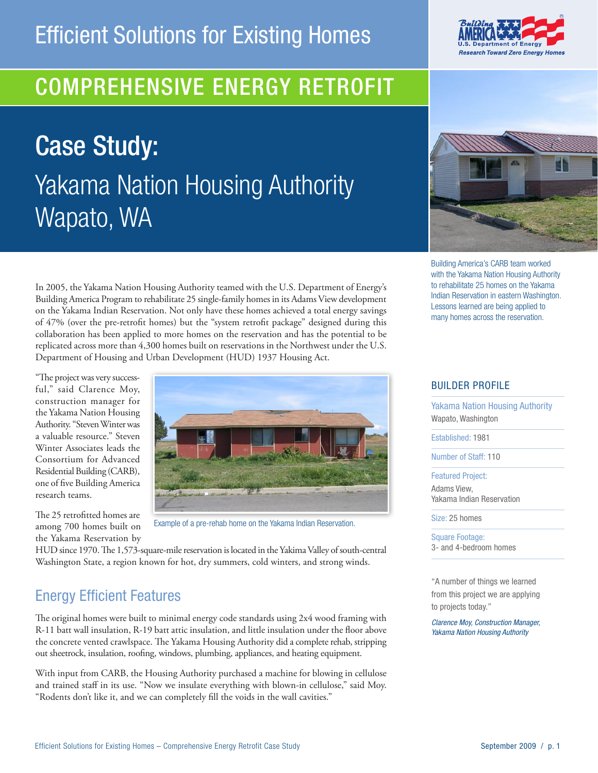## COMPREHENSIVE ENERGY Retrofit

Case Study: Yakama Nation Housing Authority Wapato, WA



R

Building America's CARB team worked with the Yakama Nation Housing Authority to rehabilitate 25 homes on the Yakama Indian Reservation in eastern Washington. Lessons learned are being applied to many homes across the reservation.

In 2005, the Yakama Nation Housing Authority teamed with the U.S. Department of Energy's Building America Program to rehabilitate 25 single-family homes in its Adams View development on the Yakama Indian Reservation. Not only have these homes achieved a total energy savings of 47% (over the pre-retrofit homes) but the "system retrofit package" designed during this collaboration has been applied to more homes on the reservation and has the potential to be replicated across more than 4,300 homes built on reservations in the Northwest under the U.S. Department of Housing and Urban Development (HUD) 1937 Housing Act.

"The project was very successful," said Clarence Moy, construction manager for the Yakama Nation Housing Authority. "Steven Winter was a valuable resource." Steven Winter Associates leads the Consortium for Advanced Residential Building (CARB), one of five Building America research teams.



The 25 retrofitted homes are among 700 homes built on the Yakama Reservation by

Example of a pre-rehab home on the Yakama Indian Reservation.

HUD since 1970. The 1,573-square-mile reservation is located in the Yakima Valley of south-central Washington State, a region known for hot, dry summers, cold winters, and strong winds.

## Energy Efficient Features

The original homes were built to minimal energy code standards using 2x4 wood framing with R-11 batt wall insulation, R-19 batt attic insulation, and little insulation under the floor above the concrete vented crawlspace. The Yakama Housing Authority did a complete rehab, stripping out sheetrock, insulation, roofing, windows, plumbing, appliances, and heating equipment.

With input from CARB, the Housing Authority purchased a machine for blowing in cellulose and trained staff in its use. "Now we insulate everything with blown-in cellulose," said Moy. "Rodents don't like it, and we can completely fill the voids in the wall cavities."

#### Builder profile

Yakama Nation Housing Authority Wapato, Washington

Established: 1981

Number of Staff: 110

Featured Project:

Adams View, Yakama Indian Reservation

Size: 25 homes

Square Footage: 3- and 4-bedroom homes

"A number of things we learned from this project we are applying to projects today."

*Clarence Moy, Construction Manager, Yakama Nation Housing Authority*

# **Research Toward Zero Energy Homes**